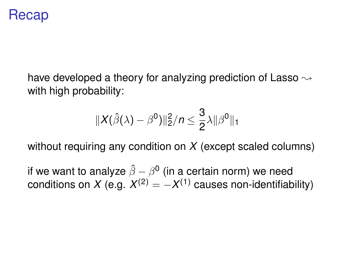## Recap

have developed a theory for analyzing prediction of Lasso  $\rightsquigarrow$ with high probability:

$$
||X(\hat{\beta}(\lambda)-\beta^0)||_2^2/n\leq \frac{3}{2}\lambda||\beta^0||_1
$$

without requiring any condition on *X* (except scaled columns)

if we want to analyze  $\hat{\beta}-\beta^{\mathsf{0}}$  (in a certain norm) we need conditions on *X* (e.g.  $X^{(2)} = -X^{(1)}$  causes non-identifiability)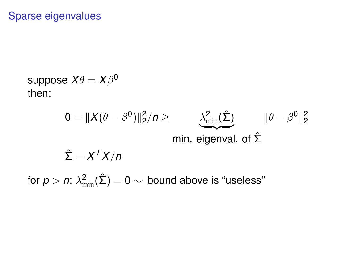## Sparse eigenvalues

suppose  $X\theta = X\beta^0$ then:

$$
0 = \|X(\theta - \beta^{0})\|_{2}^{2}/n \ge \frac{\lambda^{2}_{\min}(\hat{\Sigma})}{\min \mathbf{\hat{\Sigma}} \quad \|\theta - \beta^{0}\|_{2}^{2}}
$$
  
min. eigenval. of  $\hat{\Sigma}$ 

for  $\rho > n$ :  $\lambda^2_{\rm min}(\hat{\Sigma}) = 0 \leadsto$  bound above is "useless"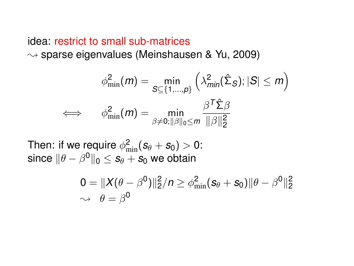## idea: restrict to small sub-matrices  $\rightsquigarrow$  sparse eigenvalues (Meinshausen & Yu, 2009)

$$
\phi_{\min}^2(m) = \min_{\mathcal{S} \subseteq \{1, \dots, p\}} \left( \lambda_{\min}^2(\hat{\Sigma}_{\mathcal{S}}); |\mathcal{S}| \leq m \right)
$$

$$
\iff \quad \phi_{\min}^2(m) = \min_{\beta \neq 0; ||\beta||_0 \leq m} \frac{\beta^T \hat{\Sigma} \beta}{||\beta||_2^2}
$$

Then: if we require  $\phi_{\min}^2(\bm{s}_{\theta} + \bm{s}_0) > 0$ : since  $\|\theta - \beta^{\mathbf{0}}\|_0 \leq s_\theta + s_0$  we obtain

$$
0 = ||X(\theta - \beta^{0})||_{2}^{2}/n \geq \phi_{\min}^{2}(s_{\theta} + s_{0})||\theta - \beta^{0}||_{2}^{2}
$$
  

$$
\sim \theta = \beta^{0}
$$